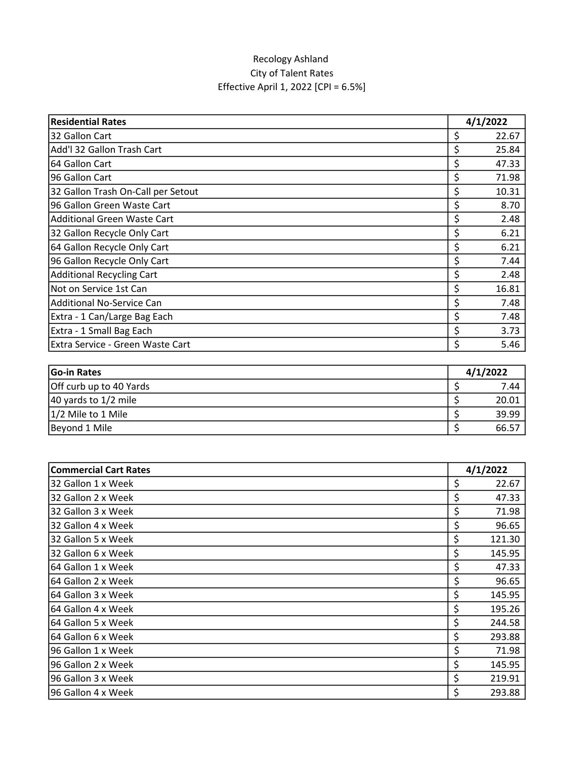## Recology Ashland City of Talent Rates Effective April 1, 2022 [CPI = 6.5%]

| <b>Residential Rates</b>           | 4/1/2022 |       |
|------------------------------------|----------|-------|
| 32 Gallon Cart                     | \$       | 22.67 |
| Add'l 32 Gallon Trash Cart         | \$       | 25.84 |
| 64 Gallon Cart                     | \$       | 47.33 |
| 96 Gallon Cart                     | \$       | 71.98 |
| 32 Gallon Trash On-Call per Setout | \$       | 10.31 |
| 96 Gallon Green Waste Cart         | \$       | 8.70  |
| <b>Additional Green Waste Cart</b> | \$       | 2.48  |
| 32 Gallon Recycle Only Cart        | \$       | 6.21  |
| 64 Gallon Recycle Only Cart        | \$       | 6.21  |
| 96 Gallon Recycle Only Cart        | \$       | 7.44  |
| <b>Additional Recycling Cart</b>   | \$       | 2.48  |
| Not on Service 1st Can             | \$       | 16.81 |
| <b>Additional No-Service Can</b>   | \$       | 7.48  |
| Extra - 1 Can/Large Bag Each       | \$       | 7.48  |
| Extra - 1 Small Bag Each           | \$       | 3.73  |
| Extra Service - Green Waste Cart   | \$       | 5.46  |

| Go-in Rates             | 4/1/2022 |       |
|-------------------------|----------|-------|
| Off curb up to 40 Yards |          | 7.44  |
| 40 yards to 1/2 mile    |          | 20.01 |
| 1/2 Mile to 1 Mile      |          | 39.99 |
| Beyond 1 Mile           |          | 66.57 |

| <b>Commercial Cart Rates</b> | 4/1/2022     |  |
|------------------------------|--------------|--|
| 32 Gallon 1 x Week           | Ś.<br>22.67  |  |
| 32 Gallon 2 x Week           | \$<br>47.33  |  |
| 32 Gallon 3 x Week           | \$<br>71.98  |  |
| 32 Gallon 4 x Week           | \$<br>96.65  |  |
| 32 Gallon 5 x Week           | \$<br>121.30 |  |
| 32 Gallon 6 x Week           | Ś<br>145.95  |  |
| 64 Gallon 1 x Week           | \$<br>47.33  |  |
| 64 Gallon 2 x Week           | \$<br>96.65  |  |
| 64 Gallon 3 x Week           | \$<br>145.95 |  |
| 64 Gallon 4 x Week           | \$<br>195.26 |  |
| 64 Gallon 5 x Week           | \$<br>244.58 |  |
| 64 Gallon 6 x Week           | \$<br>293.88 |  |
| 196 Gallon 1 x Week          | \$<br>71.98  |  |
| 96 Gallon 2 x Week           | \$<br>145.95 |  |
| 96 Gallon 3 x Week           | \$<br>219.91 |  |
| 96 Gallon 4 x Week           | \$<br>293.88 |  |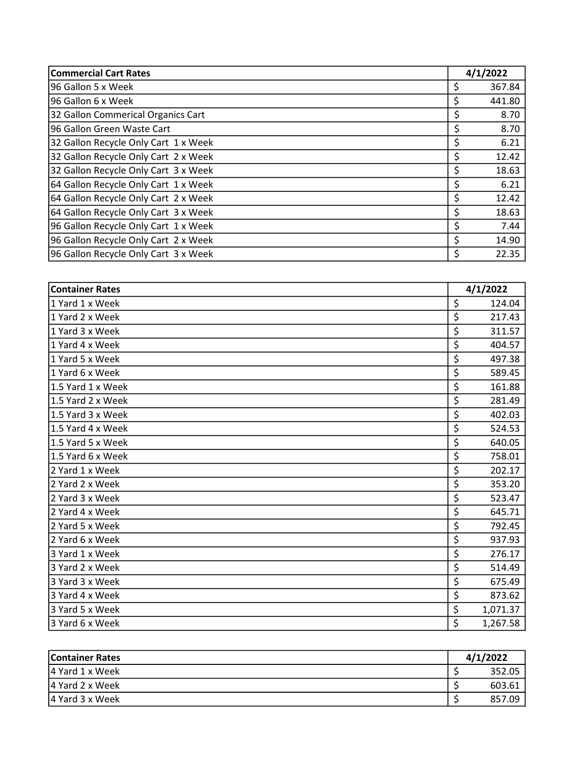| <b>Commercial Cart Rates</b>         | 4/1/2022 |        |
|--------------------------------------|----------|--------|
| 196 Gallon 5 x Week                  | Ś        | 367.84 |
| 96 Gallon 6 x Week                   | \$       | 441.80 |
| 32 Gallon Commerical Organics Cart   | \$       | 8.70   |
| 96 Gallon Green Waste Cart           | \$       | 8.70   |
| 32 Gallon Recycle Only Cart 1 x Week | \$       | 6.21   |
| 32 Gallon Recycle Only Cart 2 x Week | Ś.       | 12.42  |
| 32 Gallon Recycle Only Cart 3 x Week | \$       | 18.63  |
| 64 Gallon Recycle Only Cart 1 x Week | \$       | 6.21   |
| 64 Gallon Recycle Only Cart 2 x Week | \$       | 12.42  |
| 64 Gallon Recycle Only Cart 3 x Week | \$       | 18.63  |
| 96 Gallon Recycle Only Cart 1 x Week | \$       | 7.44   |
| 96 Gallon Recycle Only Cart 2 x Week | \$       | 14.90  |
| 96 Gallon Recycle Only Cart 3 x Week | \$       | 22.35  |

| <b>Container Rates</b> | 4/1/2022 |          |
|------------------------|----------|----------|
| 1 Yard 1 x Week        | \$       | 124.04   |
| 1 Yard 2 x Week        | \$       | 217.43   |
| 1 Yard 3 x Week        | \$       | 311.57   |
| 1 Yard 4 x Week        | \$       | 404.57   |
| 1 Yard 5 x Week        | \$       | 497.38   |
| 1 Yard 6 x Week        | \$       | 589.45   |
| 1.5 Yard 1 x Week      | \$       | 161.88   |
| 1.5 Yard 2 x Week      | \$       | 281.49   |
| 1.5 Yard 3 x Week      | \$       | 402.03   |
| 1.5 Yard 4 x Week      | \$       | 524.53   |
| 1.5 Yard 5 x Week      | \$       | 640.05   |
| 1.5 Yard 6 x Week      | \$       | 758.01   |
| 2 Yard 1 x Week        | \$       | 202.17   |
| 2 Yard 2 x Week        | \$       | 353.20   |
| 2 Yard 3 x Week        | \$       | 523.47   |
| 2 Yard 4 x Week        | \$       | 645.71   |
| 2 Yard 5 x Week        | \$       | 792.45   |
| 2 Yard 6 x Week        | \$       | 937.93   |
| 3 Yard 1 x Week        | \$       | 276.17   |
| 3 Yard 2 x Week        | \$       | 514.49   |
| 3 Yard 3 x Week        | \$       | 675.49   |
| 3 Yard 4 x Week        | \$       | 873.62   |
| 3 Yard 5 x Week        | \$       | 1,071.37 |
| 3 Yard 6 x Week        | \$       | 1,267.58 |

| <b>Container Rates</b> | 4/1/2022 |        |
|------------------------|----------|--------|
| 4 Yard 1 x Week        |          | 352.05 |
| 4 Yard 2 x Week        |          | 603.61 |
| 4 Yard 3 x Week        |          | 857.09 |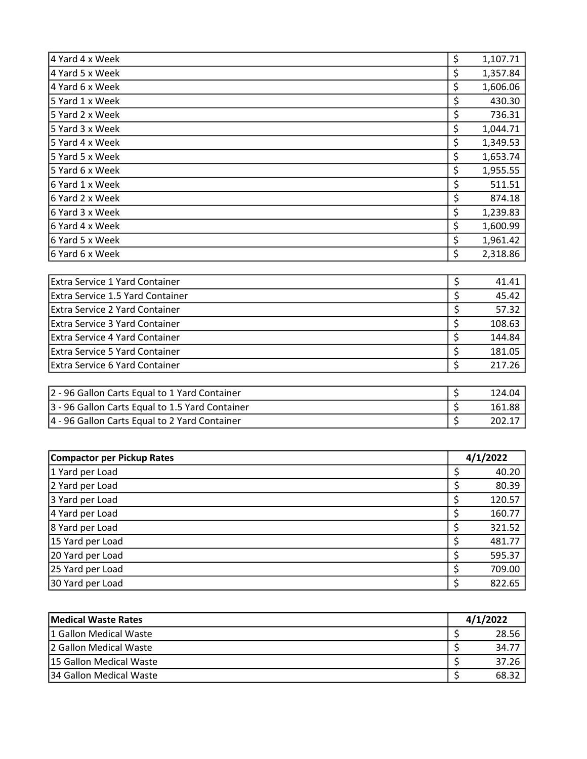| 4 Yard 4 x Week  | \$<br>1,107.71 |
|------------------|----------------|
| 4 Yard 5 x Week  | \$<br>1,357.84 |
| 4 Yard 6 x Week  | \$<br>1,606.06 |
| 15 Yard 1 x Week | \$<br>430.30   |
| 5 Yard 2 x Week  | \$<br>736.31   |
| 5 Yard 3 x Week  | \$<br>1,044.71 |
| 5 Yard 4 x Week  | \$<br>1,349.53 |
| 5 Yard 5 x Week  | \$<br>1,653.74 |
| 5 Yard 6 x Week  | \$<br>1,955.55 |
| 6 Yard 1 x Week  | \$<br>511.51   |
| 6 Yard 2 x Week  | \$<br>874.18   |
| 6 Yard 3 x Week  | \$<br>1,239.83 |
| 6 Yard 4 x Week  | \$<br>1,600.99 |
| 6 Yard 5 x Week  | \$<br>1,961.42 |
| 6 Yard 6 x Week  | \$<br>2,318.86 |

| <b>Extra Service 1 Yard Container</b> | 41.41  |
|---------------------------------------|--------|
| Extra Service 1.5 Yard Container      | 45.42  |
| <b>Extra Service 2 Yard Container</b> | 57.32  |
| <b>Extra Service 3 Yard Container</b> | 108.63 |
| Extra Service 4 Yard Container        | 144.84 |
| Extra Service 5 Yard Container        | 181.05 |
| Extra Service 6 Yard Container        | 217.26 |

| 2 - 96 Gallon Carts Equal to 1 Yard Container   | 124.04 |
|-------------------------------------------------|--------|
| 3 - 96 Gallon Carts Equal to 1.5 Yard Container | 161.88 |
| 4 - 96 Gallon Carts Equal to 2 Yard Container   |        |

| <b>Compactor per Pickup Rates</b> | 4/1/2022 |        |
|-----------------------------------|----------|--------|
| 1 Yard per Load                   |          | 40.20  |
| 2 Yard per Load                   |          | 80.39  |
| 3 Yard per Load                   |          | 120.57 |
| 4 Yard per Load                   |          | 160.77 |
| 8 Yard per Load                   |          | 321.52 |
| 15 Yard per Load                  |          | 481.77 |
| 20 Yard per Load                  |          | 595.37 |
| 25 Yard per Load                  |          | 709.00 |
| 30 Yard per Load                  |          | 822.65 |

| Medical Waste Rates      | 4/1/2022 |       |
|--------------------------|----------|-------|
| 1 Gallon Medical Waste   |          | 28.56 |
| 2 Gallon Medical Waste   |          | 34.77 |
| 115 Gallon Medical Waste |          | 37.26 |
| 134 Gallon Medical Waste |          | 68.32 |